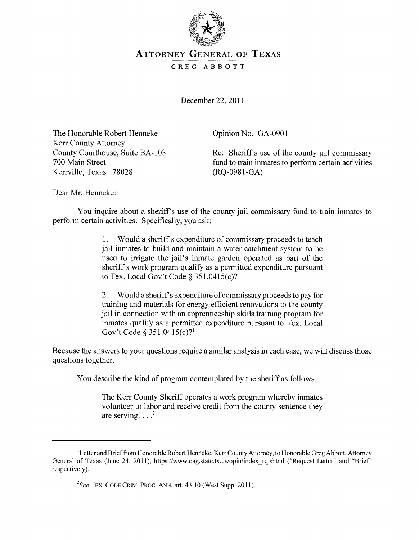

## ATTORNEY GENERAL OF TEXAS

## GREG ABBOTT

December 22, 2011

The Honorable Robert Henneke Kerr County Attorney County Courthouse, Suite BA-l 03 700 Main Street Kerrville, Texas 78028

Opinion No. GA-0901

Re: Sheriffs use of the county jail commissary fund to train inmates to perform certain activities (RO-0981-GA)

Dear Mr. Henneke:

You inquire about a sheriff's use of the county jail commissary fund to train inmates to perform certain activities. Specifically, you ask:

> 1. Would a sheriff s expenditure of commissary proceeds to teach jail inmates to build and maintain a water catchment system to be used to irrigate the jail's inmate garden operated as part of the sheriff's work program qualify as a permitted expenditure pursuant to Tex. Local Gov't Code § 351.0415(c)?

> 2. Would a sheriff s expenditure of commissary proceeds to pay for training and materials for energy efficient renovations to the county jail in connection with an apprenticeship skills training program for inmates qualify as a permitted expenditure pursuant to Tex. Local Gov't Code § 351.0415(c)?<sup>1</sup>

Because the answers to your questions require a similar analysis in each case, we will discuss those questions together.

You describe the kind of program contemplated by the sheriff as follows:

The Kerr County Sheriff operates a work program whereby inmates volunteer to labor and receive credit from the county sentence they are serving.  $\ldots$ <sup>2</sup>

<sup>&</sup>lt;sup>1</sup> Letter and Brief from Honorable Robert Henneke, Kerr County Attorney, to Honorable Greg Abbott, Attorney General of Texas (June 24, 2011), https://www.oag.state.tx.us/opin/index rq.shtml ("Request Letter" and "Brief" respectively).

<sup>2</sup>*See* TEX. CODE CRIM. PROC. ANN. art. 43.10 (West Supp. 2011).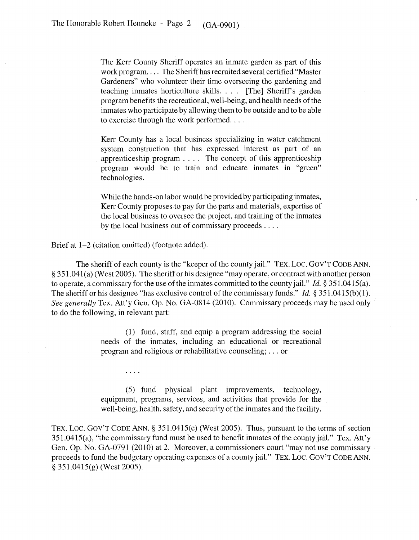The Kerr County Sheriff operates an inmate garden as part of this work program.... The Sheriff has recruited several certified "Master" Gardeners" who volunteer their time overseeing the gardening and teaching inmates horticulture skills. . .. [The] Sheriff's garden program benefits the recreational, well-being, and health needs ofthe inmates who participate by allowing them to be outside and to be able to exercise through the work performed....

Kerr County has a local business specializing in water catchment system construction that has expressed interest as part of an apprenticeship program. . .. The concept of this apprenticeship program would be to train and educate inmates in "green" technologies.

While the hands-on labor would be provided by participating inmates, Kerr County proposes to pay for the parts and materials, expertise of the local business to oversee the project, and training of the inmates by the local business out of commissary proceeds ....

Brief at  $1-2$  (citation omitted) (footnote added).

 $\cdots$ 

The sheriff of each county is the "keeper of the county jail." TEX. Loc. GOY'T CODE ANN. § 3S1.041 (a) (West 200S). The sheriff or his designee "may operate, or contract with another person to operate, a commissary for the use of the inmates committed to the county jail." *Id.* § 3S1.041S(a). The sheriff or his designee "has exclusive control of the commissary funds." *Id.* § 351.0415(b)(1). *See generally* Tex. Att'y Gen. Op. No. GA-0814 (2010). Commissary proceeds may be used only to do the following, in relevant part:

> (1) fund, staff, and equip a program addressing the social needs of the inmates, including an educational or recreational program and religious or rehabilitative counseling; ... or

(S) fund physical plant improvements, technology, equipment, programs, services, and activities that provide for the well-being, health, safety, and security of the inmates and the facility.

TEX. Loc. GOy'T CODE ANN. § 3S1.041S(c) (West 200S). Thus, pursuant to the terms of section 3S1.041S(a), "the commissary fund must be used to benefit inmates of the county jail." Tex. Att'y Gen. Op. No. GA-0791 (2010) at 2. Moreover, a commissioners court "may not use commissary proceeds to fund the budgetary operating expenses of a county jail." TEX. Loc. GOY'T CODE ANN. § 3S1.041S(g) (West 200S).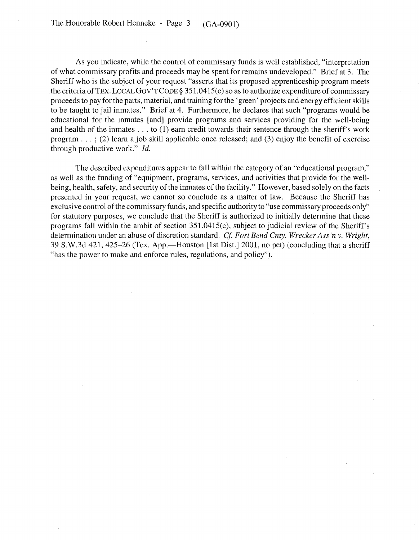As you indicate, while the control of commissary funds is well established, "interpretation of what commissary profits and proceeds may be spent for remains undeveloped." Brief at 3. The Sheriff who is the subject of your request "asserts that its proposed apprenticeship program meets the criteria of TEX. LOCAL GOV'T CODE § 351.0415(c) so as to authorize expenditure of commissary proceeds to pay for the parts, material, and training for the' green' projects and energy efficient skills to be taught to jail inmates." Brief at 4. Furthermore, he declares that such "programs would be educational for the inmates [and] provide programs and services providing for the well-being and health of the inmates ... to (1) earn credit towards their sentence through the sheriff's work program ... ; (2) learn a job skill applicable once released; and (3) enjoy the benefit of exercise through productive work."  $Id$ .

The described expenditures appear to fall within the category of an "educational program," as well as the funding of "equipment, programs, services, and activities that provide for the wellbeing, health, safety, and security of the inmates of the facility." However, based solely on the facts presented in your request, we cannot so conclude as a matter of law. Because the Sheriff has exclusive control of the commissary funds, and specific authority to "use commissary proceeds only" for statutory purposes, we conclude that the Sheriff is authorized to initially determine that these programs fall within the ambit of section 351.0415(c), subject to judicial review of the Sheriff's determination under an abuse of discretion standard. *Cf. Fort Bend Cnty. Wrecker Ass'n v. Wright,* 39 S.W.3d 421, 425-26 (Tex. App.—Houston [1st Dist.] 2001, no pet) (concluding that a sheriff "has the power to make and enforce rules, regulations, and policy").